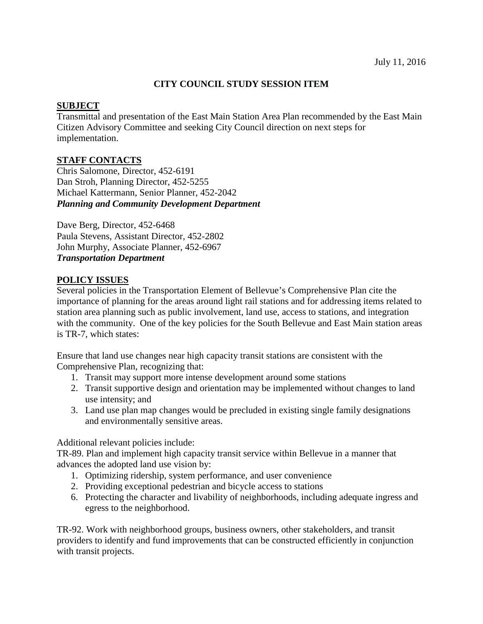### **CITY COUNCIL STUDY SESSION ITEM**

#### **SUBJECT**

Transmittal and presentation of the East Main Station Area Plan recommended by the East Main Citizen Advisory Committee and seeking City Council direction on next steps for implementation.

### **STAFF CONTACTS**

Chris Salomone, Director, 452-6191 Dan Stroh, Planning Director, 452-5255 Michael Kattermann, Senior Planner, 452-2042 *Planning and Community Development Department*

Dave Berg, Director, 452-6468 Paula Stevens, Assistant Director, 452-2802 John Murphy, Associate Planner, 452-6967 *Transportation Department*

### **POLICY ISSUES**

Several policies in the Transportation Element of Bellevue's Comprehensive Plan cite the importance of planning for the areas around light rail stations and for addressing items related to station area planning such as public involvement, land use, access to stations, and integration with the community. One of the key policies for the South Bellevue and East Main station areas is TR-7, which states:

Ensure that land use changes near high capacity transit stations are consistent with the Comprehensive Plan, recognizing that:

- 1. Transit may support more intense development around some stations
- 2. Transit supportive design and orientation may be implemented without changes to land use intensity; and
- 3. Land use plan map changes would be precluded in existing single family designations and environmentally sensitive areas.

Additional relevant policies include:

TR-89. Plan and implement high capacity transit service within Bellevue in a manner that advances the adopted land use vision by:

- 1. Optimizing ridership, system performance, and user convenience
- 2. Providing exceptional pedestrian and bicycle access to stations
- 6. Protecting the character and livability of neighborhoods, including adequate ingress and egress to the neighborhood.

TR-92. Work with neighborhood groups, business owners, other stakeholders, and transit providers to identify and fund improvements that can be constructed efficiently in conjunction with transit projects.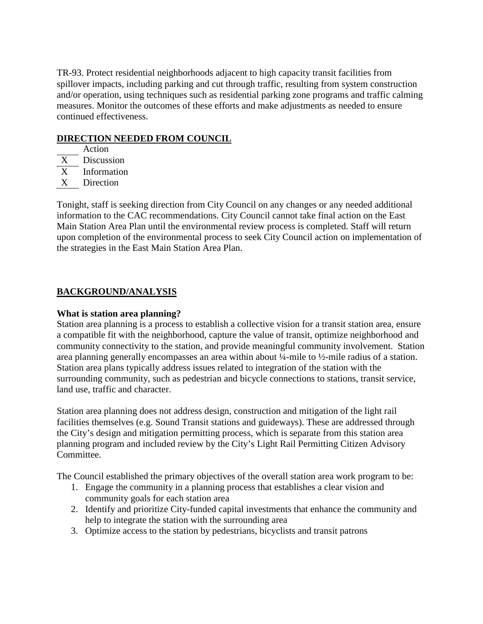TR-93. Protect residential neighborhoods adjacent to high capacity transit facilities from spillover impacts, including parking and cut through traffic, resulting from system construction and/or operation, using techniques such as residential parking zone programs and traffic calming measures. Monitor the outcomes of these efforts and make adjustments as needed to ensure continued effectiveness.

# **DIRECTION NEEDED FROM COUNCIL**

Action

- X Discussion
- X Information
- X Direction

Tonight, staff is seeking direction from City Council on any changes or any needed additional information to the CAC recommendations. City Council cannot take final action on the East Main Station Area Plan until the environmental review process is completed. Staff will return upon completion of the environmental process to seek City Council action on implementation of the strategies in the East Main Station Area Plan.

# **BACKGROUND/ANALYSIS**

# **What is station area planning?**

Station area planning is a process to establish a collective vision for a transit station area, ensure a compatible fit with the neighborhood, capture the value of transit, optimize neighborhood and community connectivity to the station, and provide meaningful community involvement. Station area planning generally encompasses an area within about ¼-mile to ½-mile radius of a station. Station area plans typically address issues related to integration of the station with the surrounding community, such as pedestrian and bicycle connections to stations, transit service, land use, traffic and character.

Station area planning does not address design, construction and mitigation of the light rail facilities themselves (e.g. Sound Transit stations and guideways). These are addressed through the City's design and mitigation permitting process, which is separate from this station area planning program and included review by the City's Light Rail Permitting Citizen Advisory Committee.

The Council established the primary objectives of the overall station area work program to be:

- 1. Engage the community in a planning process that establishes a clear vision and community goals for each station area
- 2. Identify and prioritize City-funded capital investments that enhance the community and help to integrate the station with the surrounding area
- 3. Optimize access to the station by pedestrians, bicyclists and transit patrons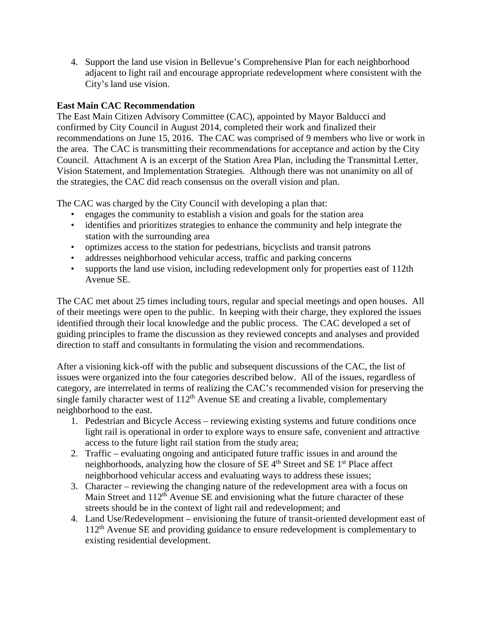4. Support the land use vision in Bellevue's Comprehensive Plan for each neighborhood adjacent to light rail and encourage appropriate redevelopment where consistent with the City's land use vision.

# **East Main CAC Recommendation**

The East Main Citizen Advisory Committee (CAC), appointed by Mayor Balducci and confirmed by City Council in August 2014, completed their work and finalized their recommendations on June 15, 2016. The CAC was comprised of 9 members who live or work in the area. The CAC is transmitting their recommendations for acceptance and action by the City Council. Attachment A is an excerpt of the Station Area Plan, including the Transmittal Letter, Vision Statement, and Implementation Strategies. Although there was not unanimity on all of the strategies, the CAC did reach consensus on the overall vision and plan.

The CAC was charged by the City Council with developing a plan that:

- engages the community to establish a vision and goals for the station area
- identifies and prioritizes strategies to enhance the community and help integrate the station with the surrounding area
- optimizes access to the station for pedestrians, bicyclists and transit patrons
- addresses neighborhood vehicular access, traffic and parking concerns
- supports the land use vision, including redevelopment only for properties east of 112th Avenue SE.

The CAC met about 25 times including tours, regular and special meetings and open houses. All of their meetings were open to the public. In keeping with their charge, they explored the issues identified through their local knowledge and the public process. The CAC developed a set of guiding principles to frame the discussion as they reviewed concepts and analyses and provided direction to staff and consultants in formulating the vision and recommendations.

After a visioning kick-off with the public and subsequent discussions of the CAC, the list of issues were organized into the four categories described below. All of the issues, regardless of category, are interrelated in terms of realizing the CAC's recommended vision for preserving the single family character west of  $112<sup>th</sup>$  Avenue SE and creating a livable, complementary neighborhood to the east.

- 1. Pedestrian and Bicycle Access reviewing existing systems and future conditions once light rail is operational in order to explore ways to ensure safe, convenient and attractive access to the future light rail station from the study area;
- 2. Traffic evaluating ongoing and anticipated future traffic issues in and around the neighborhoods, analyzing how the closure of  $SE$  4<sup>th</sup> Street and  $SE$  1<sup>st</sup> Place affect neighborhood vehicular access and evaluating ways to address these issues;
- 3. Character reviewing the changing nature of the redevelopment area with a focus on Main Street and 112<sup>th</sup> Avenue SE and envisioning what the future character of these streets should be in the context of light rail and redevelopment; and
- 4. Land Use/Redevelopment envisioning the future of transit-oriented development east of  $112<sup>th</sup>$  Avenue SE and providing guidance to ensure redevelopment is complementary to existing residential development.